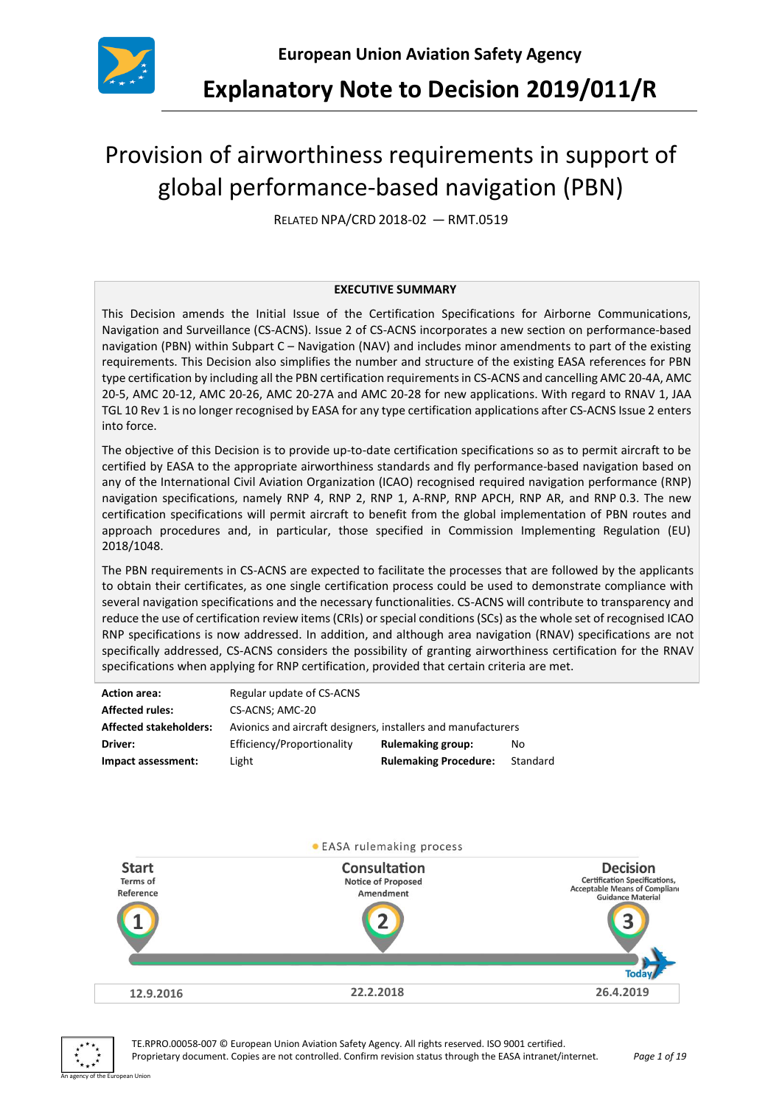

**Explanatory Note to Decision 2019/011/R**

# Provision of airworthiness requirements in support of global performance-based navigation (PBN)

RELATED NPA/CRD 2018-02 — RMT.0519

#### **EXECUTIVE SUMMARY**

This Decision amends the Initial Issue of the Certification Specifications for Airborne Communications, Navigation and Surveillance (CS-ACNS). Issue 2 of CS-ACNS incorporates a new section on performance-based navigation (PBN) within Subpart C – Navigation (NAV) and includes minor amendments to part of the existing requirements. This Decision also simplifies the number and structure of the existing EASA references for PBN type certification by including all the PBN certification requirements in CS-ACNS and cancelling AMC 20-4A, AMC 20-5, AMC 20-12, AMC 20-26, AMC 20-27A and AMC 20-28 for new applications. With regard to RNAV 1, JAA TGL 10 Rev 1 is no longer recognised by EASA for any type certification applications after CS-ACNS Issue 2 enters into force.

The objective of this Decision is to provide up-to-date certification specifications so as to permit aircraft to be certified by EASA to the appropriate airworthiness standards and fly performance-based navigation based on any of the International Civil Aviation Organization (ICAO) recognised required navigation performance (RNP) navigation specifications, namely RNP 4, RNP 2, RNP 1, A-RNP, RNP APCH, RNP AR, and RNP 0.3. The new certification specifications will permit aircraft to benefit from the global implementation of PBN routes and approach procedures and, in particular, those specified in Commission Implementing Regulation (EU) 2018/1048.

The PBN requirements in CS-ACNS are expected to facilitate the processes that are followed by the applicants to obtain their certificates, as one single certification process could be used to demonstrate compliance with several navigation specifications and the necessary functionalities. CS-ACNS will contribute to transparency and reduce the use of certification review items (CRIs) or special conditions (SCs) as the whole set of recognised ICAO RNP specifications is now addressed. In addition, and although area navigation (RNAV) specifications are not specifically addressed, CS-ACNS considers the possibility of granting airworthiness certification for the RNAV specifications when applying for RNP certification, provided that certain criteria are met.

| <b>Action area:</b>           | Regular update of CS-ACNS                                     |                              |          |  |  |  |
|-------------------------------|---------------------------------------------------------------|------------------------------|----------|--|--|--|
| <b>Affected rules:</b>        | CS-ACNS; AMC-20                                               |                              |          |  |  |  |
| <b>Affected stakeholders:</b> | Avionics and aircraft designers, installers and manufacturers |                              |          |  |  |  |
| Driver:                       | Efficiency/Proportionality                                    | <b>Rulemaking group:</b>     | No       |  |  |  |
| Impact assessment:            | Light                                                         | <b>Rulemaking Procedure:</b> | Standard |  |  |  |





TE.RPRO.00058-007 © European Union Aviation Safety Agency. All rights reserved. ISO 9001 certified. Proprietary document. Copies are not controlled. Confirm revision status through the EASA intranet/internet. *Page 1 of 19*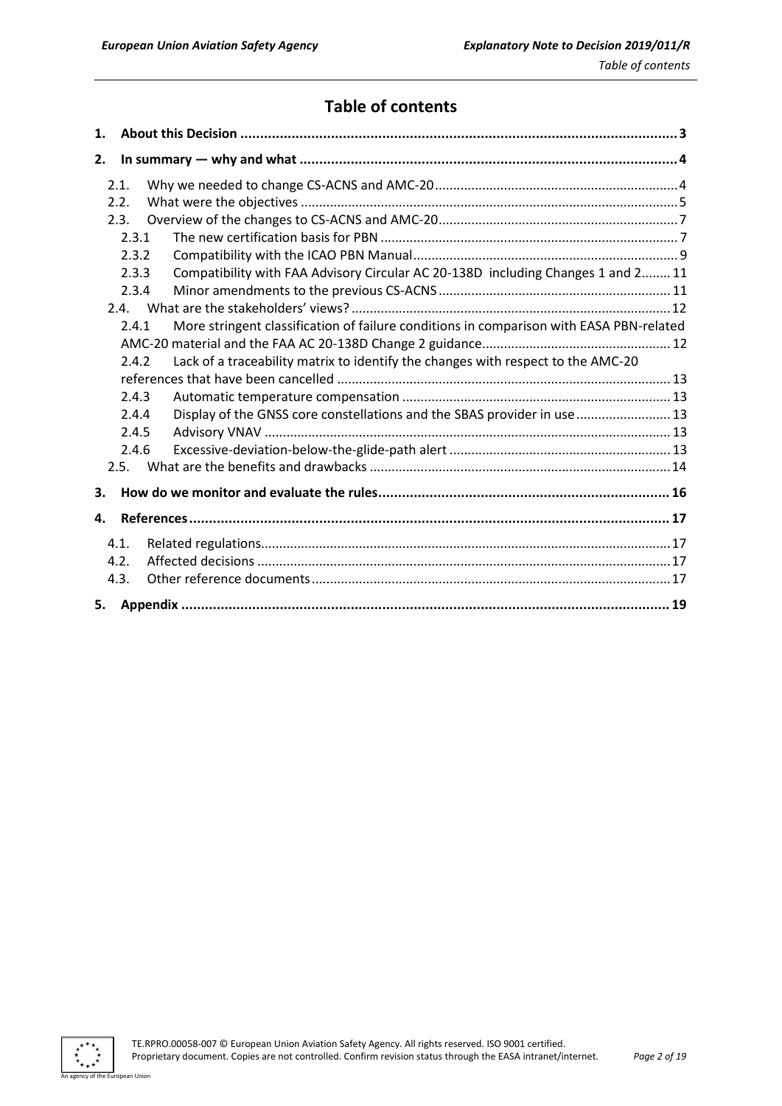# **Table of contents**

| 1. |       |                                                                                         |  |
|----|-------|-----------------------------------------------------------------------------------------|--|
| 2. |       |                                                                                         |  |
|    | 2.1.  |                                                                                         |  |
|    | 2.2.  |                                                                                         |  |
|    | 2.3.  |                                                                                         |  |
|    | 2.3.1 |                                                                                         |  |
|    | 2.3.2 |                                                                                         |  |
|    | 2.3.3 | Compatibility with FAA Advisory Circular AC 20-138D including Changes 1 and 2 11        |  |
|    | 2.3.4 |                                                                                         |  |
|    |       |                                                                                         |  |
|    | 2.4.1 | More stringent classification of failure conditions in comparison with EASA PBN-related |  |
|    |       |                                                                                         |  |
|    | 2.4.2 | Lack of a traceability matrix to identify the changes with respect to the AMC-20        |  |
|    |       |                                                                                         |  |
|    | 2.4.3 |                                                                                         |  |
|    | 2.4.4 | Display of the GNSS core constellations and the SBAS provider in use  13                |  |
|    | 2.4.5 |                                                                                         |  |
|    | 2.4.6 |                                                                                         |  |
|    | 2.5.  |                                                                                         |  |
| З. |       |                                                                                         |  |
| 4. |       |                                                                                         |  |
|    | 4.1.  |                                                                                         |  |
|    | 4.2.  |                                                                                         |  |
|    | 4.3.  |                                                                                         |  |
| 5. |       |                                                                                         |  |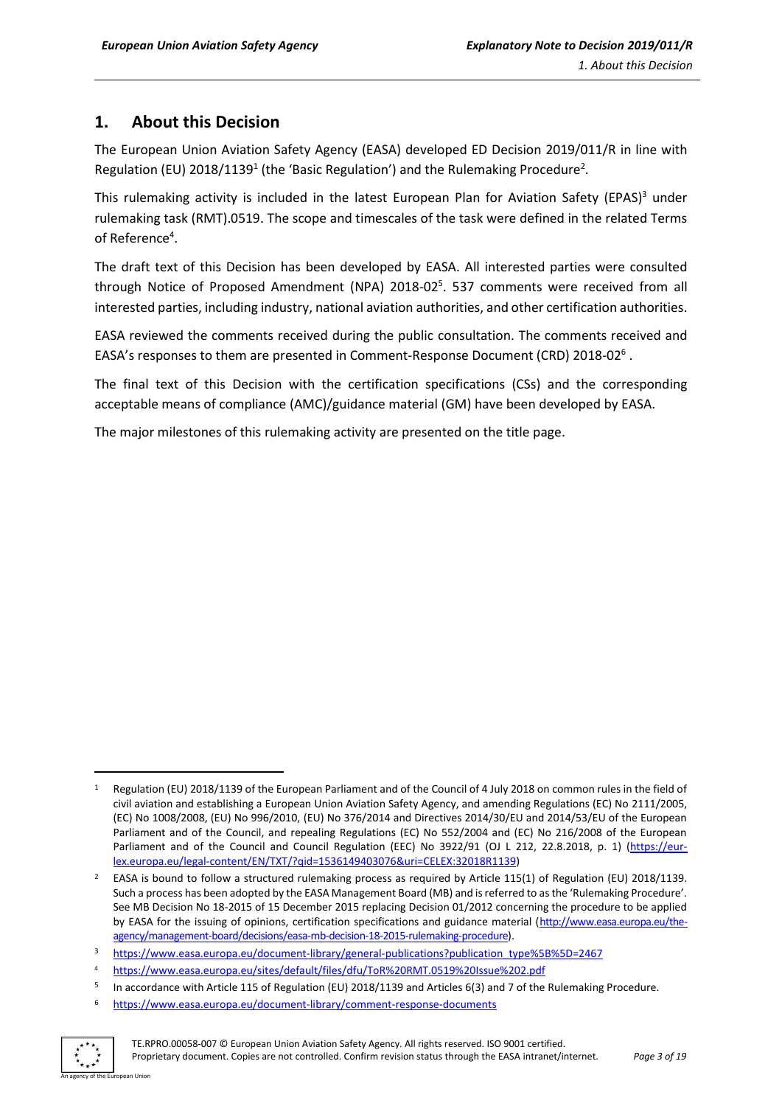# <span id="page-2-0"></span>**1. About this Decision**

The European Union Aviation Safety Agency (EASA) developed ED Decision 2019/011/R in line with Regulation (EU) 2018/1139<sup>1</sup> (the 'Basic Regulation') and the Rulemaking Procedure<sup>2</sup>.

This rulemaking activity is included in the latest European Plan for Aviation Safety (EPAS)<sup>3</sup> under rulemaking task (RMT).0519. The scope and timescales of the task were defined in the related Terms of Reference<sup>4</sup>.

The draft text of this Decision has been developed by EASA. All interested parties were consulted through Notice of Proposed Amendment (NPA) 2018-02<sup>5</sup>. 537 comments were received from all interested parties, including industry, national aviation authorities, and other certification authorities.

EASA reviewed the comments received during the public consultation. The comments received and EASA's responses to them are presented in Comment-Response Document (CRD) 2018-02<sup>6</sup>.

The final text of this Decision with the certification specifications (CSs) and the corresponding acceptable means of compliance (AMC)/guidance material (GM) have been developed by EASA.

The major milestones of this rulemaking activity are presented on the title page.

<sup>6</sup> <https://www.easa.europa.eu/document-library/comment-response-documents>



**.** 

Regulation (EU) 2018/1139 of the European Parliament and of the Council of 4 July 2018 on common rules in the field of civil aviation and establishing a European Union Aviation Safety Agency, and amending Regulations (EC) No 2111/2005, (EC) No 1008/2008, (EU) No 996/2010, (EU) No 376/2014 and Directives 2014/30/EU and 2014/53/EU of the European Parliament and of the Council, and repealing Regulations (EC) No 552/2004 and (EC) No 216/2008 of the European Parliament and of the Council and Council Regulation (EEC) No 3922/91 (OJ L 212, 22.8.2018, p. 1) [\(https://eur](https://eur-lex.europa.eu/legal-content/EN/TXT/?qid=1536149403076&uri=CELEX:32018R1139)[lex.europa.eu/legal-content/EN/TXT/?qid=1536149403076&uri=CELEX:32018R1139\)](https://eur-lex.europa.eu/legal-content/EN/TXT/?qid=1536149403076&uri=CELEX:32018R1139)

<sup>2</sup> EASA is bound to follow a structured rulemaking process as required by Article 115(1) of Regulation (EU) 2018/1139. Such a process has been adopted by the EASA Management Board (MB) and is referred to as the 'Rulemaking Procedure'. See MB Decision No 18-2015 of 15 December 2015 replacing Decision 01/2012 concerning the procedure to be applied by EASA for the issuing of opinions, certification specifications and guidance material [\(http://www.easa.europa.eu/the](http://www.easa.europa.eu/the-agency/management-board/decisions/easa-mb-decision-18-2015-rulemaking-procedure)[agency/management-board/decisions/easa-mb-decision-18-2015-rulemaking-procedure\)](http://www.easa.europa.eu/the-agency/management-board/decisions/easa-mb-decision-18-2015-rulemaking-procedure).

<sup>3</sup> [https://www.easa.europa.eu/document-library/general-publications?publication\\_type%5B%5D=2467](https://www.easa.europa.eu/document-library/general-publications?publication_type%5B%5D=2467)

<sup>4</sup> https://www.easa.europa.eu/sites/default/files/dfu/ToR%20RMT.0519%20Issue%202.pdf

<sup>5</sup> In accordance with Article 115 of Regulation (EU) 2018/1139 and Articles 6(3) and 7 of the Rulemaking Procedure.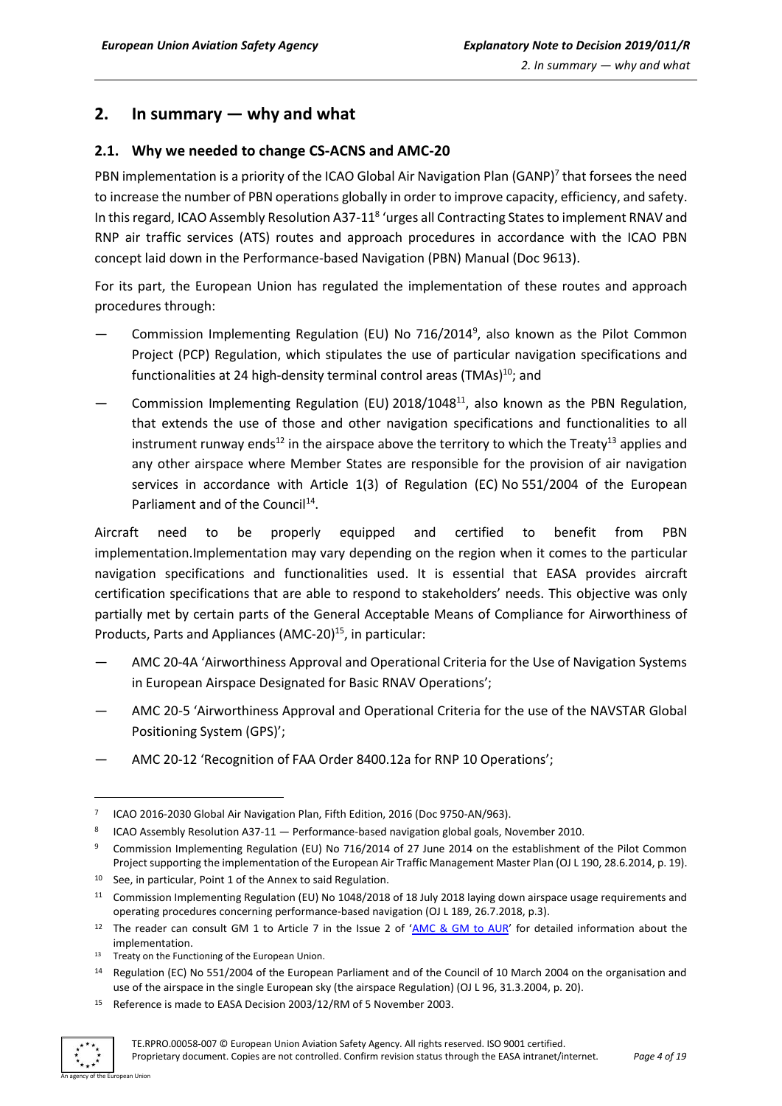## <span id="page-3-0"></span>**2. In summary — why and what**

#### <span id="page-3-1"></span>**2.1. Why we needed to change CS-ACNS and AMC-20**

PBN implementation is a priority of the ICAO Global Air Navigation Plan (GANP)<sup>7</sup> that forsees the need to increase the number of PBN operations globally in order to improve capacity, efficiency, and safety. In this regard, ICAO Assembly Resolution A37-11<sup>8</sup> 'urges all Contracting States to implement RNAV and RNP air traffic services (ATS) routes and approach procedures in accordance with the ICAO PBN concept laid down in the Performance-based Navigation (PBN) Manual (Doc 9613).

For its part, the European Union has regulated the implementation of these routes and approach procedures through:

- Commission Implementing Regulation (EU) No 716/2014<sup>9</sup>, also known as the Pilot Common Project (PCP) Regulation, which stipulates the use of particular navigation specifications and functionalities at 24 high-density terminal control areas (TMAs)<sup>10</sup>; and
- Commission Implementing Regulation (EU) 2018/1048<sup>11</sup>, also known as the PBN Regulation, that extends the use of those and other navigation specifications and functionalities to all instrument runway ends<sup>12</sup> in the airspace above the territory to which the Treaty<sup>13</sup> applies and any other airspace where Member States are responsible for the provision of air navigation services in accordance with Article 1(3) of Regulation (EC) No 551/2004 of the European Parliament and of the Council<sup>14</sup>.

Aircraft need to be properly equipped and certified to benefit from PBN implementation.Implementation may vary depending on the region when it comes to the particular navigation specifications and functionalities used. It is essential that EASA provides aircraft certification specifications that are able to respond to stakeholders' needs. This objective was only partially met by certain parts of the General Acceptable Means of Compliance for Airworthiness of Products, Parts and Appliances (AMC-20)<sup>15</sup>, in particular:

- AMC 20-4A 'Airworthiness Approval and Operational Criteria for the Use of Navigation Systems in European Airspace Designated for Basic RNAV Operations';
- AMC 20-5 'Airworthiness Approval and Operational Criteria for the use of the NAVSTAR Global Positioning System (GPS)';
- AMC 20-12 'Recognition of FAA Order 8400.12a for RNP 10 Operations';

<sup>&</sup>lt;sup>15</sup> Reference is made to EASA Decision 2003/12/RM of 5 November 2003.



**.** 

<sup>&</sup>lt;sup>7</sup> [ICAO 2016-2030](file://///n-drive/users$/ramirra/OFFICE/EASA%20PROJECTS/PBN%20CS-ACNS%20RMT0519/NPA/ICAO%202016-2030) Global Air Navigation Plan, Fifth Edition, 2016 (Doc 9750-AN/963).

<sup>&</sup>lt;sup>8</sup> ICAO Assembly Resolution A37-11  $-$  Performance-based navigation global goals, November 2010.

<sup>9</sup> Commission Implementing Regulation (EU) No 716/2014 of 27 June 2014 on the establishment of the Pilot Common Project supporting the implementation of the European Air Traffic Management Master Plan (OJ L 190, 28.6.2014, p. 19).

<sup>&</sup>lt;sup>10</sup> See, in particular, Point 1 of the Annex to said Regulation.

<sup>11</sup> Commission Implementing Regulation (EU) No 1048/2018 of 18 July 2018 laying down airspace usage requirements and operating procedures concerning performance-based navigation (OJ L 189, 26.7.2018, p.3).

<sup>&</sup>lt;sup>12</sup> The reader can consult GM 1 to Article 7 in the Issue 2 of '[AMC & GM to AUR](https://www.easa.europa.eu/sites/default/files/dfu/Annexes%20to%20EDD%202018-013-R.pdf)' for detailed information about the implementation.

<sup>&</sup>lt;sup>13</sup> Treaty on the Functioning of the European Union.

<sup>&</sup>lt;sup>14</sup> Regulation (EC) No 551/2004 of the European Parliament and of the Council of 10 March 2004 on the organisation and use of the airspace in the single European sky (the airspace Regulation) (OJ L 96, 31.3.2004, p. 20).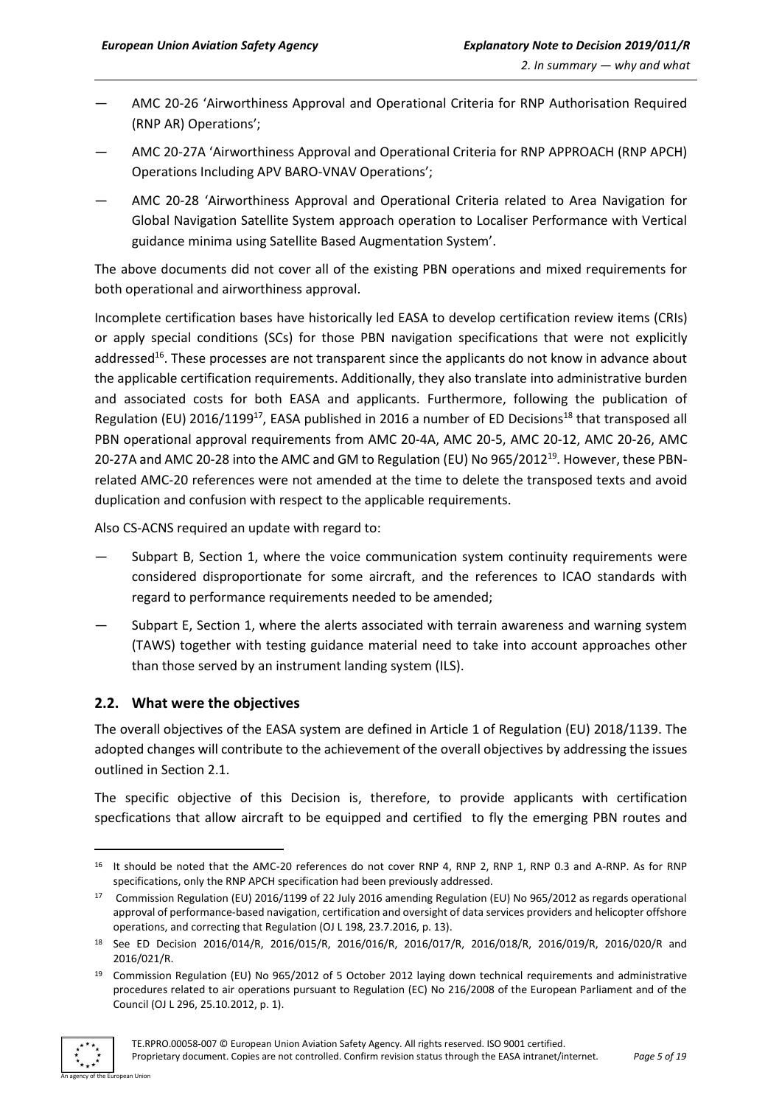- AMC 20-26 'Airworthiness Approval and Operational Criteria for RNP Authorisation Required (RNP AR) Operations';
- AMC 20-27A 'Airworthiness Approval and Operational Criteria for RNP APPROACH (RNP APCH) Operations Including APV BARO-VNAV Operations';
- AMC 20-28 'Airworthiness Approval and Operational Criteria related to Area Navigation for Global Navigation Satellite System approach operation to Localiser Performance with Vertical guidance minima using Satellite Based Augmentation System'.

The above documents did not cover all of the existing PBN operations and mixed requirements for both operational and airworthiness approval.

Incomplete certification bases have historically led EASA to develop certification review items (CRIs) or apply special conditions (SCs) for those PBN navigation specifications that were not explicitly addressed<sup>16</sup>. These processes are not transparent since the applicants do not know in advance about the applicable certification requirements. Additionally, they also translate into administrative burden and associated costs for both EASA and applicants. Furthermore, following the publication of Regulation (EU) 2016/1199<sup>17</sup>, EASA published in 2016 a number of ED Decisions<sup>18</sup> that transposed all PBN operational approval requirements from AMC 20-4A, AMC 20-5, AMC 20-12, AMC 20-26, AMC 20-27A and AMC 20-28 into the AMC and GM to Regulation (EU) No 965/2012<sup>19</sup>. However, these PBNrelated AMC-20 references were not amended at the time to delete the transposed texts and avoid duplication and confusion with respect to the applicable requirements.

Also CS-ACNS required an update with regard to:

- Subpart B, Section 1, where the voice communication system continuity requirements were considered disproportionate for some aircraft, and the references to ICAO standards with regard to performance requirements needed to be amended;
- Subpart E, Section 1, where the alerts associated with terrain awareness and warning system (TAWS) together with testing guidance material need to take into account approaches other than those served by an instrument landing system (ILS).

### <span id="page-4-0"></span>**2.2. What were the objectives**

The overall objectives of the EASA system are defined in Article 1 of Regulation (EU) 2018/1139. The adopted changes will contribute to the achievement of the overall objectives by addressing the issues outlined in Section 2.1.

The specific objective of this Decision is, therefore, to provide applicants with certification specfications that allow aircraft to be equipped and certified to fly the emerging PBN routes and

<sup>19</sup> Commission Regulation (EU) No 965/2012 of 5 October 2012 laying down technical requirements and administrative procedures related to air operations pursuant to Regulation (EC) No 216/2008 of the European Parliament and of the Council (OJ L 296, 25.10.2012, p. 1).



**.** 

<sup>&</sup>lt;sup>16</sup> It should be noted that the AMC-20 references do not cover RNP 4, RNP 2, RNP 1, RNP 0.3 and A-RNP. As for RNP specifications, only the RNP APCH specification had been previously addressed.

<sup>17</sup> Commission Regulation (EU) 2016/1199 of 22 July 2016 amending Regulation (EU) No 965/2012 as regards operational approval of performance-based navigation, certification and oversight of data services providers and helicopter offshore operations, and correcting that Regulation (OJ L 198, 23.7.2016, p. 13).

<sup>18</sup> See ED Decision 2016/014/R, 2016/015/R, 2016/016/R, 2016/017/R, 2016/018/R, 2016/019/R, 2016/020/R and 2016/021/R.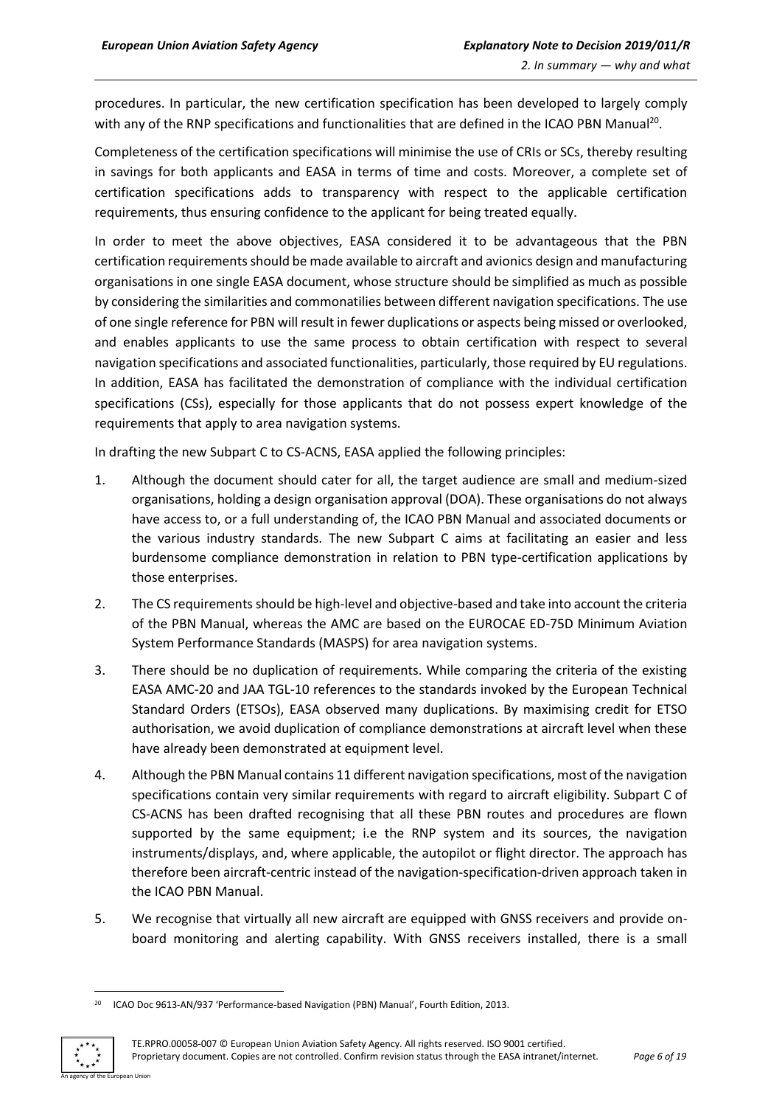procedures. In particular, the new certification specification has been developed to largely comply with any of the RNP specifications and functionalities that are defined in the ICAO PBN Manual<sup>20</sup>.

Completeness of the certification specifications will minimise the use of CRIs or SCs, thereby resulting in savings for both applicants and EASA in terms of time and costs. Moreover, a complete set of certification specifications adds to transparency with respect to the applicable certification requirements, thus ensuring confidence to the applicant for being treated equally.

In order to meet the above objectives, EASA considered it to be advantageous that the PBN certification requirementsshould be made available to aircraft and avionics design and manufacturing organisations in one single EASA document, whose structure should be simplified as much as possible by considering the similarities and commonatilies between different navigation specifications. The use of one single reference for PBN will result in fewer duplications or aspects being missed or overlooked, and enables applicants to use the same process to obtain certification with respect to several navigation specifications and associated functionalities, particularly, those required by EU regulations. In addition, EASA has facilitated the demonstration of compliance with the individual certification specifications (CSs), especially for those applicants that do not possess expert knowledge of the requirements that apply to area navigation systems.

In drafting the new Subpart C to CS-ACNS, EASA applied the following principles:

- 1. Although the document should cater for all, the target audience are small and medium-sized organisations, holding a design organisation approval (DOA). These organisations do not always have access to, or a full understanding of, the ICAO PBN Manual and associated documents or the various industry standards. The new Subpart C aims at facilitating an easier and less burdensome compliance demonstration in relation to PBN type-certification applications by those enterprises.
- 2. The CS requirements should be high-level and objective-based and take into account the criteria of the PBN Manual, whereas the AMC are based on the EUROCAE ED-75D Minimum Aviation System Performance Standards (MASPS) for area navigation systems.
- 3. There should be no duplication of requirements. While comparing the criteria of the existing EASA AMC-20 and JAA TGL-10 references to the standards invoked by the European Technical Standard Orders (ETSOs), EASA observed many duplications. By maximising credit for ETSO authorisation, we avoid duplication of compliance demonstrations at aircraft level when these have already been demonstrated at equipment level.
- 4. Although the PBN Manual contains 11 different navigation specifications, most of the navigation specifications contain very similar requirements with regard to aircraft eligibility. Subpart C of CS-ACNS has been drafted recognising that all these PBN routes and procedures are flown supported by the same equipment; i.e the RNP system and its sources, the navigation instruments/displays, and, where applicable, the autopilot or flight director. The approach has therefore been aircraft-centric instead of the navigation-specification-driven approach taken in the ICAO PBN Manual.
- 5. We recognise that virtually all new aircraft are equipped with GNSS receivers and provide onboard monitoring and alerting capability. With GNSS receivers installed, there is a small

<sup>&</sup>lt;sup>20</sup> ICAO Doc 9613-AN/937 'Performance-based Navigation (PBN) Manual', Fourth Edition, 2013.



 $\overline{a}$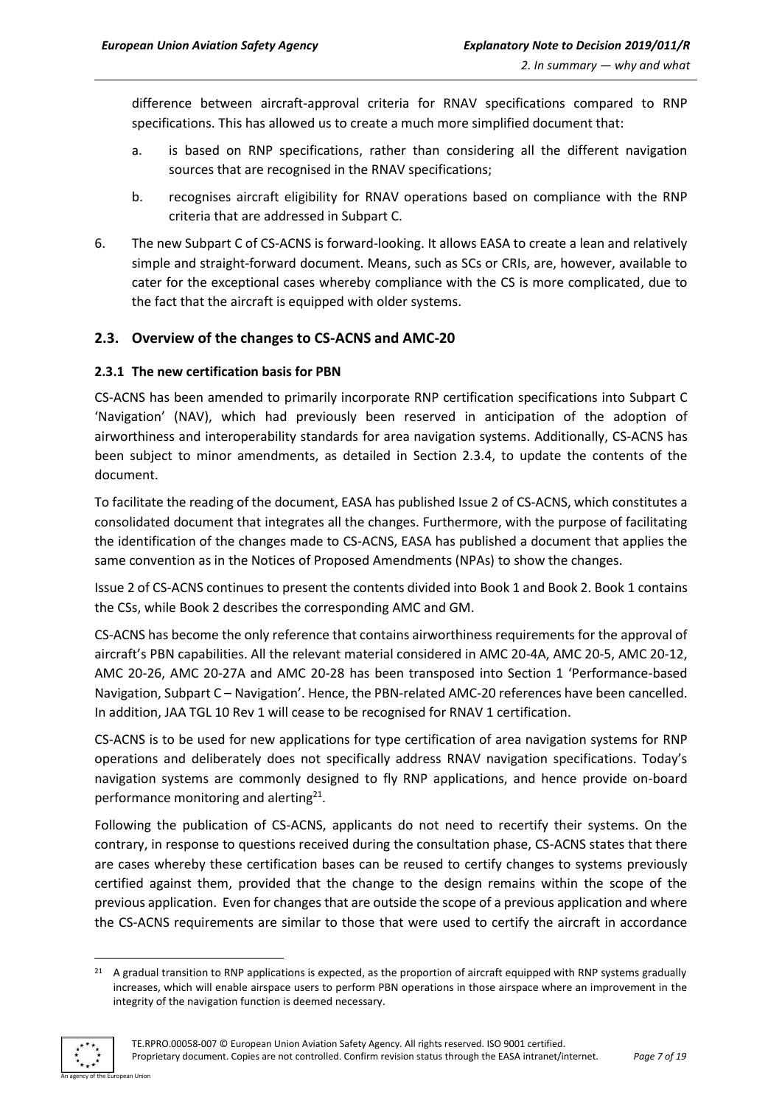difference between aircraft-approval criteria for RNAV specifications compared to RNP specifications. This has allowed us to create a much more simplified document that:

- a. is based on RNP specifications, rather than considering all the different navigation sources that are recognised in the RNAV specifications;
- b. recognises aircraft eligibility for RNAV operations based on compliance with the RNP criteria that are addressed in Subpart C.
- 6. The new Subpart C of CS-ACNS is forward-looking. It allows EASA to create a lean and relatively simple and straight-forward document. Means, such as SCs or CRIs, are, however, available to cater for the exceptional cases whereby compliance with the CS is more complicated, due to the fact that the aircraft is equipped with older systems.

#### <span id="page-6-0"></span>**2.3. Overview of the changes to CS-ACNS and AMC-20**

#### <span id="page-6-1"></span>**2.3.1 The new certification basis for PBN**

CS-ACNS has been amended to primarily incorporate RNP certification specifications into Subpart C 'Navigation' (NAV), which had previously been reserved in anticipation of the adoption of airworthiness and interoperability standards for area navigation systems. Additionally, CS-ACNS has been subject to minor amendments, as detailed in Section 2.3.4, to update the contents of the document.

To facilitate the reading of the document, EASA has published Issue 2 of CS-ACNS, which constitutes a consolidated document that integrates all the changes. Furthermore, with the purpose of facilitating the identification of the changes made to CS-ACNS, EASA has published a document that applies the same convention as in the Notices of Proposed Amendments (NPAs) to show the changes.

Issue 2 of CS-ACNS continues to present the contents divided into Book 1 and Book 2. Book 1 contains the CSs, while Book 2 describes the corresponding AMC and GM.

CS-ACNS has become the only reference that contains airworthiness requirements for the approval of aircraft's PBN capabilities. All the relevant material considered in AMC 20-4A, AMC 20-5, AMC 20-12, AMC 20-26, AMC 20-27A and AMC 20-28 has been transposed into Section 1 'Performance-based Navigation, Subpart C – Navigation'. Hence, the PBN-related AMC-20 references have been cancelled. In addition, JAA TGL 10 Rev 1 will cease to be recognised for RNAV 1 certification.

CS-ACNS is to be used for new applications for type certification of area navigation systems for RNP operations and deliberately does not specifically address RNAV navigation specifications. Today's navigation systems are commonly designed to fly RNP applications, and hence provide on-board performance monitoring and alerting $21$ .

Following the publication of CS-ACNS, applicants do not need to recertify their systems. On the contrary, in response to questions received during the consultation phase, CS-ACNS states that there are cases whereby these certification bases can be reused to certify changes to systems previously certified against them, provided that the change to the design remains within the scope of the previous application. Even for changes that are outside the scope of a previous application and where the CS-ACNS requirements are similar to those that were used to certify the aircraft in accordance

<sup>1</sup>  $21$  A gradual transition to RNP applications is expected, as the proportion of aircraft equipped with RNP systems gradually increases, which will enable airspace users to perform PBN operations in those airspace where an improvement in the integrity of the navigation function is deemed necessary.

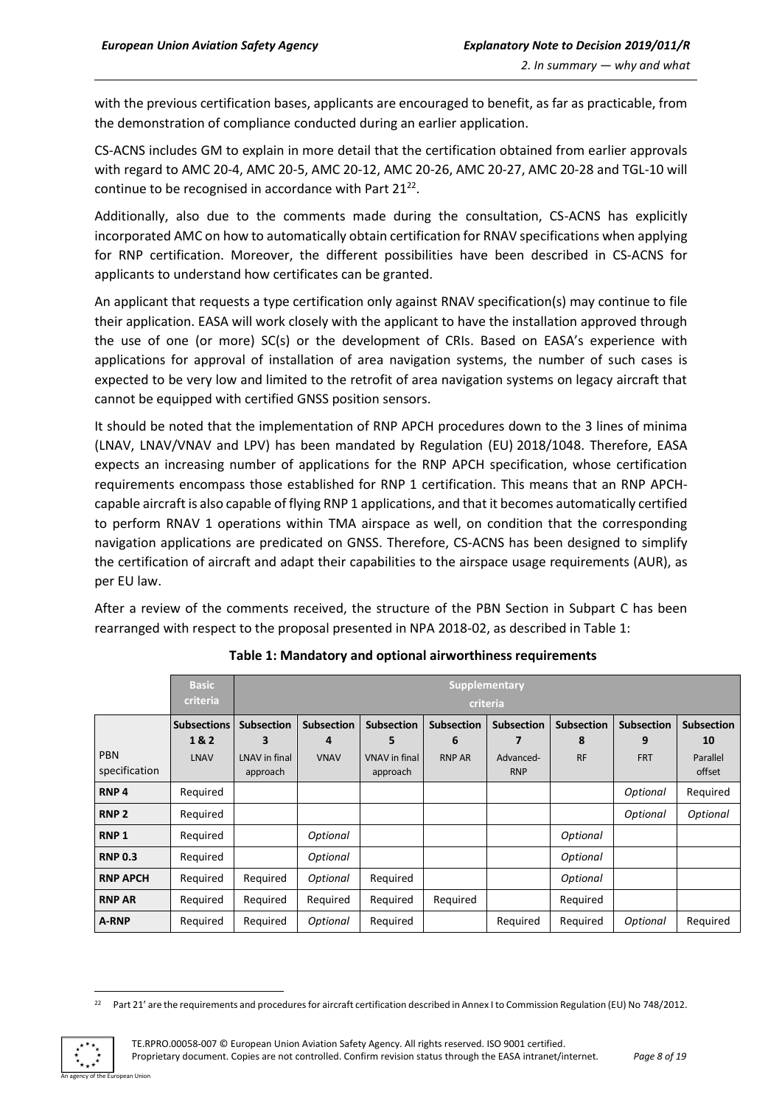with the previous certification bases, applicants are encouraged to benefit, as far as practicable, from the demonstration of compliance conducted during an earlier application.

CS-ACNS includes GM to explain in more detail that the certification obtained from earlier approvals with regard to AMC 20-4, AMC 20-5, AMC 20-12, AMC 20-26, AMC 20-27, AMC 20-28 and TGL-10 will continue to be recognised in accordance with Part  $21^{22}$ .

Additionally, also due to the comments made during the consultation, CS-ACNS has explicitly incorporated AMC on how to automatically obtain certification for RNAV specifications when applying for RNP certification. Moreover, the different possibilities have been described in CS-ACNS for applicants to understand how certificates can be granted.

An applicant that requests a type certification only against RNAV specification(s) may continue to file their application. EASA will work closely with the applicant to have the installation approved through the use of one (or more) SC(s) or the development of CRIs. Based on EASA's experience with applications for approval of installation of area navigation systems, the number of such cases is expected to be very low and limited to the retrofit of area navigation systems on legacy aircraft that cannot be equipped with certified GNSS position sensors.

It should be noted that the implementation of RNP APCH procedures down to the 3 lines of minima (LNAV, LNAV/VNAV and LPV) has been mandated by Regulation (EU) 2018/1048. Therefore, EASA expects an increasing number of applications for the RNP APCH specification, whose certification requirements encompass those established for RNP 1 certification. This means that an RNP APCHcapable aircraft is also capable of flying RNP 1 applications, and that it becomes automatically certified to perform RNAV 1 operations within TMA airspace as well, on condition that the corresponding navigation applications are predicated on GNSS. Therefore, CS-ACNS has been designed to simplify the certification of aircraft and adapt their capabilities to the airspace usage requirements (AUR), as per EU law.

After a review of the comments received, the structure of the PBN Section in Subpart C has been rearranged with respect to the proposal presented in NPA 2018-02, as described in Table 1:

|                             | <b>Basic</b><br>criteria                 | <b>Supplementary</b><br>criteria                    |                                       |                                                            |                                         |                                              |                                     |                                      |                                               |
|-----------------------------|------------------------------------------|-----------------------------------------------------|---------------------------------------|------------------------------------------------------------|-----------------------------------------|----------------------------------------------|-------------------------------------|--------------------------------------|-----------------------------------------------|
| <b>PBN</b><br>specification | <b>Subsections</b><br>1&2<br><b>LNAV</b> | <b>Subsection</b><br>з<br>LNAV in final<br>approach | <b>Subsection</b><br>4<br><b>VNAV</b> | <b>Subsection</b><br>5<br><b>VNAV</b> in final<br>approach | <b>Subsection</b><br>6<br><b>RNP AR</b> | <b>Subsection</b><br>Advanced-<br><b>RNP</b> | <b>Subsection</b><br>8<br><b>RF</b> | <b>Subsection</b><br>9<br><b>FRT</b> | <b>Subsection</b><br>10<br>Parallel<br>offset |
| RNP <sub>4</sub>            | Required                                 |                                                     |                                       |                                                            |                                         |                                              |                                     | Optional                             | Required                                      |
| RNP <sub>2</sub>            | Required                                 |                                                     |                                       |                                                            |                                         |                                              |                                     | Optional                             | Optional                                      |
| <b>RNP1</b>                 | Required                                 |                                                     | Optional                              |                                                            |                                         |                                              | Optional                            |                                      |                                               |
| <b>RNP 0.3</b>              | Required                                 |                                                     | Optional                              |                                                            |                                         |                                              | Optional                            |                                      |                                               |
| <b>RNP APCH</b>             | Required                                 | Required                                            | Optional                              | Required                                                   |                                         |                                              | Optional                            |                                      |                                               |
| <b>RNP AR</b>               | Required                                 | Required                                            | Required                              | Required                                                   | Required                                |                                              | Required                            |                                      |                                               |
| A-RNP                       | Required                                 | Required                                            | Optional                              | Required                                                   |                                         | Required                                     | Required                            | Optional                             | Required                                      |

**Table 1: Mandatory and optional airworthiness requirements**

<sup>&</sup>lt;sup>22</sup> Part 21' are the requirements and procedures for aircraft certification described in Annex I to Commission Regulation (EU) No 748/2012.



 $\overline{a}$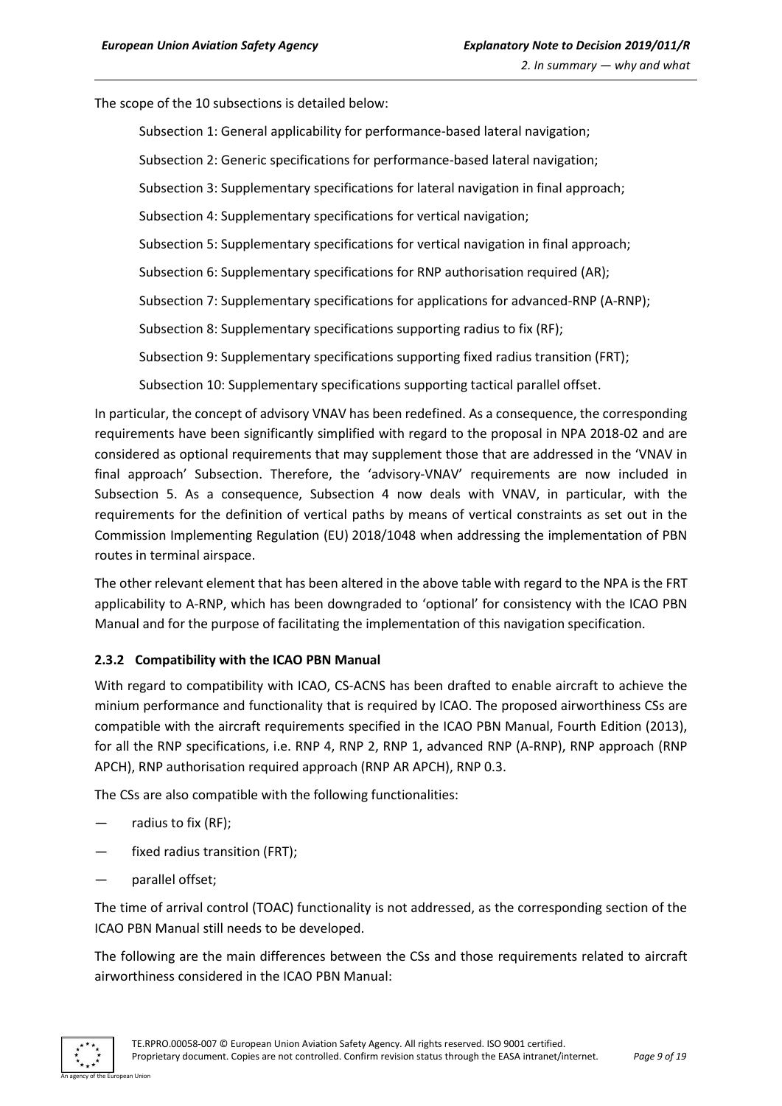The scope of the 10 subsections is detailed below:

Subsection 1: General applicability for performance-based lateral navigation;

Subsection 2: Generic specifications for performance-based lateral navigation;

Subsection 3: Supplementary specifications for lateral navigation in final approach;

Subsection 4: Supplementary specifications for vertical navigation;

Subsection 5: Supplementary specifications for vertical navigation in final approach;

Subsection 6: Supplementary specifications for RNP authorisation required (AR);

Subsection 7: Supplementary specifications for applications for advanced-RNP (A-RNP);

Subsection 8: Supplementary specifications supporting radius to fix (RF);

Subsection 9: Supplementary specifications supporting fixed radius transition (FRT);

Subsection 10: Supplementary specifications supporting tactical parallel offset.

In particular, the concept of advisory VNAV has been redefined. As a consequence, the corresponding requirements have been significantly simplified with regard to the proposal in NPA 2018-02 and are considered as optional requirements that may supplement those that are addressed in the 'VNAV in final approach' Subsection. Therefore, the 'advisory-VNAV' requirements are now included in Subsection 5. As a consequence, Subsection 4 now deals with VNAV, in particular, with the requirements for the definition of vertical paths by means of vertical constraints as set out in the Commission Implementing Regulation (EU) 2018/1048 when addressing the implementation of PBN routes in terminal airspace.

The other relevant element that has been altered in the above table with regard to the NPA is the FRT applicability to A-RNP, which has been downgraded to 'optional' for consistency with the ICAO PBN Manual and for the purpose of facilitating the implementation of this navigation specification.

#### <span id="page-8-0"></span>**2.3.2 Compatibility with the ICAO PBN Manual**

With regard to compatibility with ICAO, CS-ACNS has been drafted to enable aircraft to achieve the minium performance and functionality that is required by ICAO. The proposed airworthiness CSs are compatible with the aircraft requirements specified in the ICAO PBN Manual, Fourth Edition (2013), for all the RNP specifications, i.e. RNP 4, RNP 2, RNP 1, advanced RNP (A-RNP), RNP approach (RNP APCH), RNP authorisation required approach (RNP AR APCH), RNP 0.3.

The CSs are also compatible with the following functionalities:

- radius to fix  $(RF)$ ;
- fixed radius transition (FRT);
- parallel offset;

The time of arrival control (TOAC) functionality is not addressed, as the corresponding section of the ICAO PBN Manual still needs to be developed.

The following are the main differences between the CSs and those requirements related to aircraft airworthiness considered in the ICAO PBN Manual:

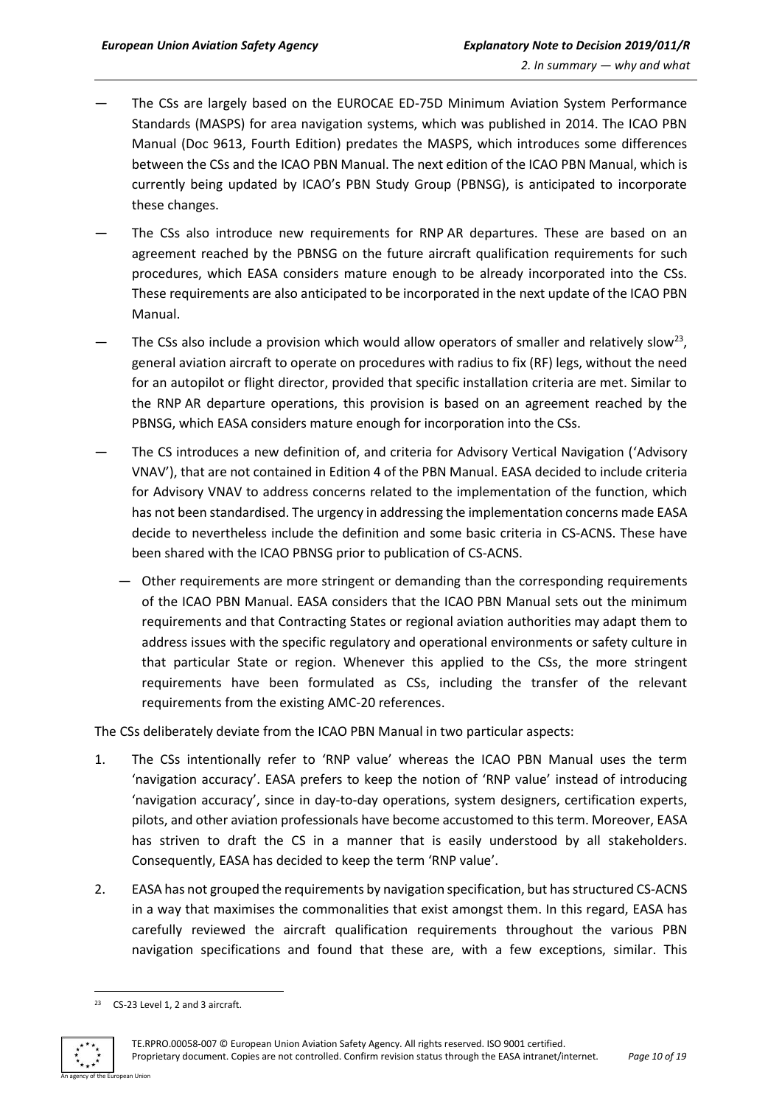- The CSs are largely based on the EUROCAE ED-75D Minimum Aviation System Performance Standards (MASPS) for area navigation systems, which was published in 2014. The ICAO PBN Manual (Doc 9613, Fourth Edition) predates the MASPS, which introduces some differences between the CSs and the ICAO PBN Manual. The next edition of the ICAO PBN Manual, which is currently being updated by ICAO's PBN Study Group (PBNSG), is anticipated to incorporate these changes.
- The CSs also introduce new requirements for RNP AR departures. These are based on an agreement reached by the PBNSG on the future aircraft qualification requirements for such procedures, which EASA considers mature enough to be already incorporated into the CSs. These requirements are also anticipated to be incorporated in the next update of the ICAO PBN Manual.
- $-$  The CSs also include a provision which would allow operators of smaller and relatively slow<sup>23</sup>, general aviation aircraft to operate on procedures with radius to fix (RF) legs, without the need for an autopilot or flight director, provided that specific installation criteria are met. Similar to the RNP AR departure operations, this provision is based on an agreement reached by the PBNSG, which EASA considers mature enough for incorporation into the CSs.
- The CS introduces a new definition of, and criteria for Advisory Vertical Navigation ('Advisory VNAV'), that are not contained in Edition 4 of the PBN Manual. EASA decided to include criteria for Advisory VNAV to address concerns related to the implementation of the function, which has not been standardised. The urgency in addressing the implementation concerns made EASA decide to nevertheless include the definition and some basic criteria in CS-ACNS. These have been shared with the ICAO PBNSG prior to publication of CS-ACNS.
	- Other requirements are more stringent or demanding than the corresponding requirements of the ICAO PBN Manual. EASA considers that the ICAO PBN Manual sets out the minimum requirements and that Contracting States or regional aviation authorities may adapt them to address issues with the specific regulatory and operational environments or safety culture in that particular State or region. Whenever this applied to the CSs, the more stringent requirements have been formulated as CSs, including the transfer of the relevant requirements from the existing AMC-20 references.

The CSs deliberately deviate from the ICAO PBN Manual in two particular aspects:

- 1. The CSs intentionally refer to 'RNP value' whereas the ICAO PBN Manual uses the term 'navigation accuracy'. EASA prefers to keep the notion of 'RNP value' instead of introducing 'navigation accuracy', since in day-to-day operations, system designers, certification experts, pilots, and other aviation professionals have become accustomed to this term. Moreover, EASA has striven to draft the CS in a manner that is easily understood by all stakeholders. Consequently, EASA has decided to keep the term 'RNP value'.
- 2. EASA has not grouped the requirements by navigation specification, but has structured CS-ACNS in a way that maximises the commonalities that exist amongst them. In this regard, EASA has carefully reviewed the aircraft qualification requirements throughout the various PBN navigation specifications and found that these are, with a few exceptions, similar. This

 $\overline{a}$ <sup>23</sup> CS-23 Level 1, 2 and 3 aircraft.

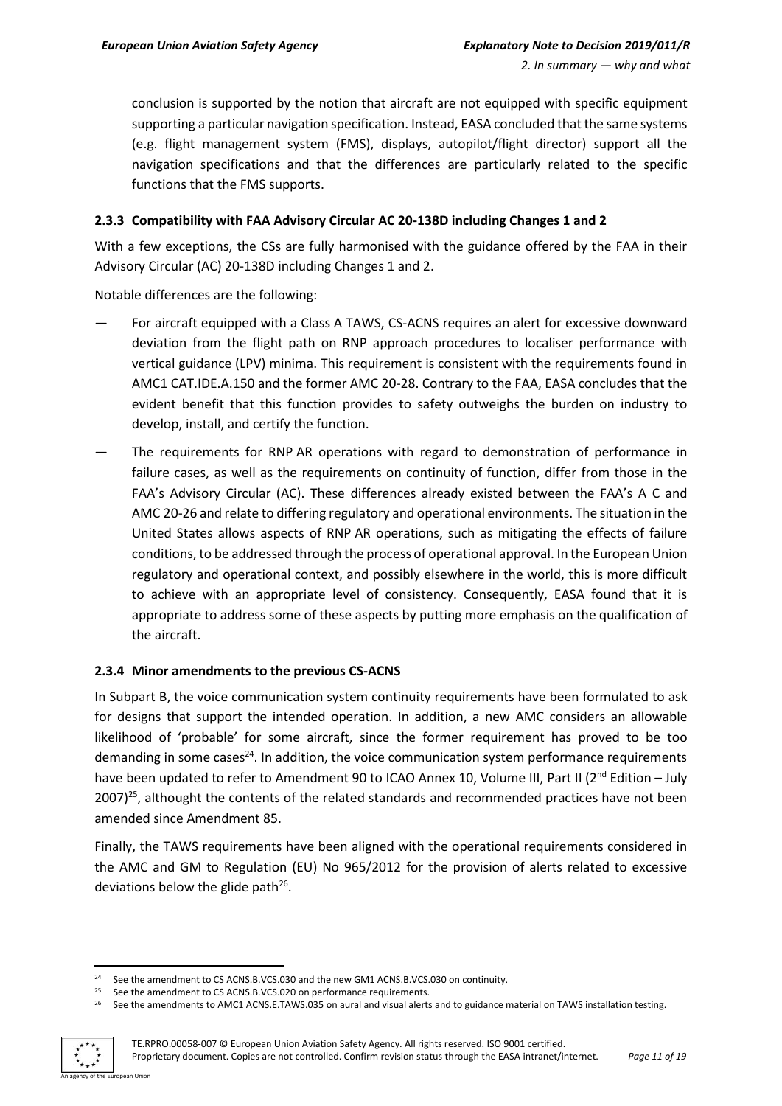conclusion is supported by the notion that aircraft are not equipped with specific equipment supporting a particular navigation specification. Instead, EASA concluded that the same systems (e.g. flight management system (FMS), displays, autopilot/flight director) support all the navigation specifications and that the differences are particularly related to the specific functions that the FMS supports.

#### <span id="page-10-0"></span>**2.3.3 Compatibility with FAA Advisory Circular AC 20-138D including Changes 1 and 2**

With a few exceptions, the CSs are fully harmonised with the guidance offered by the FAA in their Advisory Circular (AC) 20-138D including Changes 1 and 2.

Notable differences are the following:

- For aircraft equipped with a Class A TAWS, CS-ACNS requires an alert for excessive downward deviation from the flight path on RNP approach procedures to localiser performance with vertical guidance (LPV) minima. This requirement is consistent with the requirements found in AMC1 CAT.IDE.A.150 and the former AMC 20-28. Contrary to the FAA, EASA concludes that the evident benefit that this function provides to safety outweighs the burden on industry to develop, install, and certify the function.
- The requirements for RNP AR operations with regard to demonstration of performance in failure cases, as well as the requirements on continuity of function, differ from those in the FAA's Advisory Circular (AC). These differences already existed between the FAA's A C and AMC 20-26 and relate to differing regulatory and operational environments. The situation in the United States allows aspects of RNP AR operations, such as mitigating the effects of failure conditions, to be addressed through the process of operational approval. In the European Union regulatory and operational context, and possibly elsewhere in the world, this is more difficult to achieve with an appropriate level of consistency. Consequently, EASA found that it is appropriate to address some of these aspects by putting more emphasis on the qualification of the aircraft.

#### <span id="page-10-1"></span>**2.3.4 Minor amendments to the previous CS-ACNS**

In Subpart B, the voice communication system continuity requirements have been formulated to ask for designs that support the intended operation. In addition, a new AMC considers an allowable likelihood of 'probable' for some aircraft, since the former requirement has proved to be too demanding in some cases<sup>24</sup>. In addition, the voice communication system performance requirements have been updated to refer to Amendment 90 to ICAO Annex 10, Volume III, Part II (2<sup>nd</sup> Edition – July 2007)<sup>25</sup>, althought the contents of the related standards and recommended practices have not been amended since Amendment 85.

Finally, the TAWS requirements have been aligned with the operational requirements considered in the AMC and GM to Regulation (EU) No 965/2012 for the provision of alerts related to excessive deviations below the glide path<sup>26</sup>.

<sup>&</sup>lt;sup>26</sup> See the amendments to AMC1 ACNS.E.TAWS.035 on aural and visual alerts and to guidance material on TAWS installation testing.



<sup>1</sup> <sup>24</sup> See the amendment to CS ACNS.B.VCS.030 and the new GM1 ACNS.B.VCS.030 on continuity.

<sup>&</sup>lt;sup>25</sup> See the amendment to CS ACNS.B.VCS.020 on performance requirements.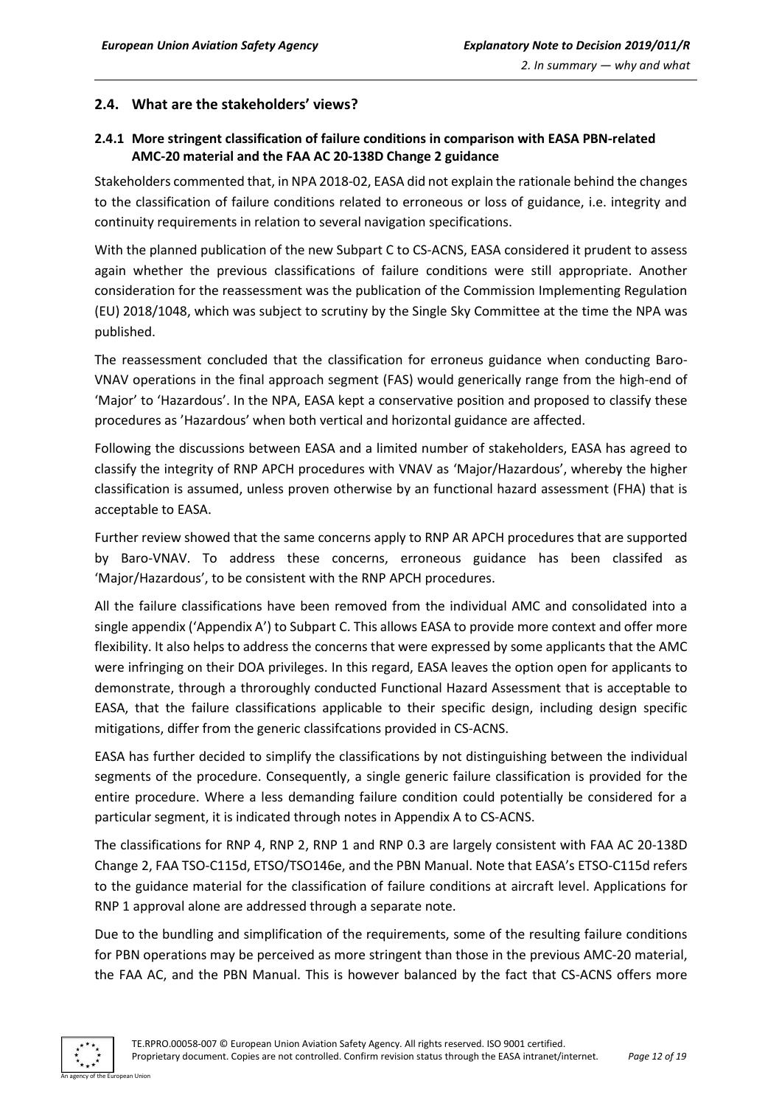#### <span id="page-11-0"></span>**2.4. What are the stakeholders' views?**

#### <span id="page-11-1"></span>**2.4.1 More stringent classification of failure conditions in comparison with EASA PBN-related AMC-20 material and the FAA AC 20-138D Change 2 guidance**

Stakeholders commented that, in NPA 2018-02, EASA did not explain the rationale behind the changes to the classification of failure conditions related to erroneous or loss of guidance, i.e. integrity and continuity requirements in relation to several navigation specifications.

With the planned publication of the new Subpart C to CS-ACNS, EASA considered it prudent to assess again whether the previous classifications of failure conditions were still appropriate. Another consideration for the reassessment was the publication of the Commission Implementing Regulation (EU) 2018/1048, which was subject to scrutiny by the Single Sky Committee at the time the NPA was published.

The reassessment concluded that the classification for erroneus guidance when conducting Baro-VNAV operations in the final approach segment (FAS) would generically range from the high-end of 'Major' to 'Hazardous'. In the NPA, EASA kept a conservative position and proposed to classify these procedures as 'Hazardous' when both vertical and horizontal guidance are affected.

Following the discussions between EASA and a limited number of stakeholders, EASA has agreed to classify the integrity of RNP APCH procedures with VNAV as 'Major/Hazardous', whereby the higher classification is assumed, unless proven otherwise by an functional hazard assessment (FHA) that is acceptable to EASA.

Further review showed that the same concerns apply to RNP AR APCH procedures that are supported by Baro-VNAV. To address these concerns, erroneous guidance has been classifed as 'Major/Hazardous', to be consistent with the RNP APCH procedures.

All the failure classifications have been removed from the individual AMC and consolidated into a single appendix ('Appendix A') to Subpart C. This allows EASA to provide more context and offer more flexibility. It also helps to address the concerns that were expressed by some applicants that the AMC were infringing on their DOA privileges. In this regard, EASA leaves the option open for applicants to demonstrate, through a throroughly conducted Functional Hazard Assessment that is acceptable to EASA, that the failure classifications applicable to their specific design, including design specific mitigations, differ from the generic classifcations provided in CS-ACNS.

EASA has further decided to simplify the classifications by not distinguishing between the individual segments of the procedure. Consequently, a single generic failure classification is provided for the entire procedure. Where a less demanding failure condition could potentially be considered for a particular segment, it is indicated through notes in Appendix A to CS-ACNS.

The classifications for RNP 4, RNP 2, RNP 1 and RNP 0.3 are largely consistent with FAA AC 20-138D Change 2, FAA TSO-C115d, ETSO/TSO146e, and the PBN Manual. Note that EASA's ETSO-C115d refers to the guidance material for the classification of failure conditions at aircraft level. Applications for RNP 1 approval alone are addressed through a separate note.

Due to the bundling and simplification of the requirements, some of the resulting failure conditions for PBN operations may be perceived as more stringent than those in the previous AMC-20 material, the FAA AC, and the PBN Manual. This is however balanced by the fact that CS-ACNS offers more

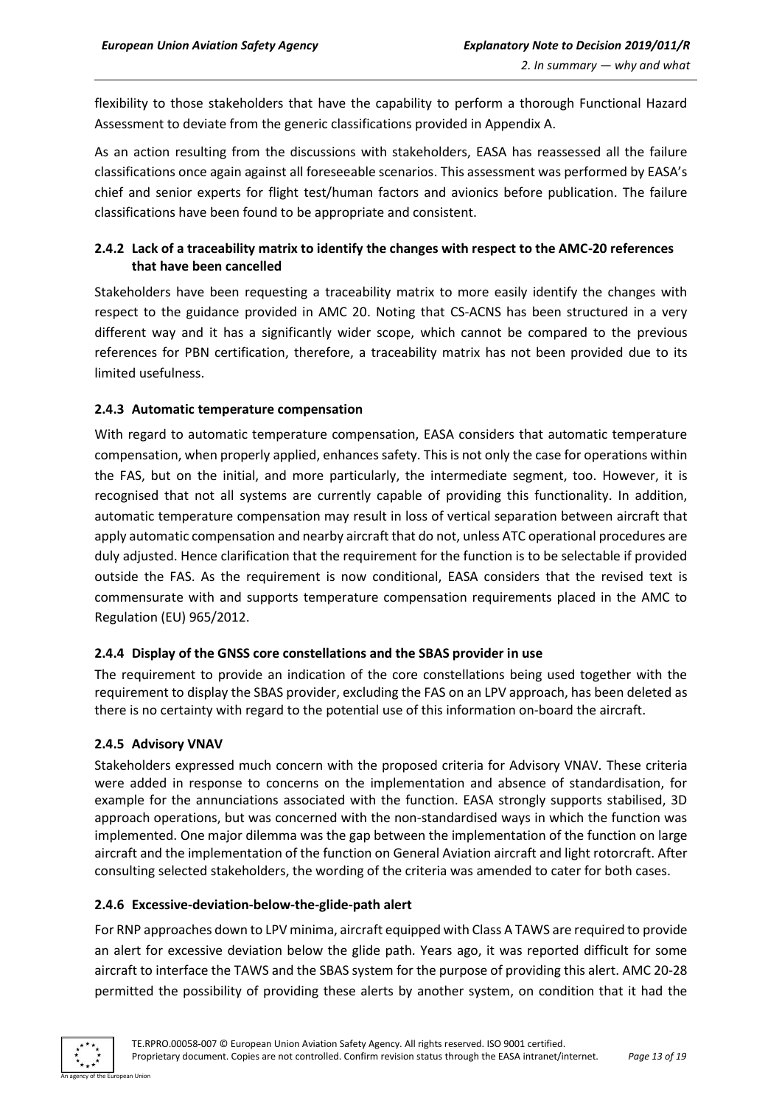flexibility to those stakeholders that have the capability to perform a thorough Functional Hazard Assessment to deviate from the generic classifications provided in Appendix A.

As an action resulting from the discussions with stakeholders, EASA has reassessed all the failure classifications once again against all foreseeable scenarios. This assessment was performed by EASA's chief and senior experts for flight test/human factors and avionics before publication. The failure classifications have been found to be appropriate and consistent.

#### <span id="page-12-0"></span>**2.4.2 Lack of a traceability matrix to identify the changes with respect to the AMC-20 references that have been cancelled**

Stakeholders have been requesting a traceability matrix to more easily identify the changes with respect to the guidance provided in AMC 20. Noting that CS-ACNS has been structured in a very different way and it has a significantly wider scope, which cannot be compared to the previous references for PBN certification, therefore, a traceability matrix has not been provided due to its limited usefulness.

#### <span id="page-12-1"></span>**2.4.3 Automatic temperature compensation**

With regard to automatic temperature compensation, EASA considers that automatic temperature compensation, when properly applied, enhances safety. This is not only the case for operations within the FAS, but on the initial, and more particularly, the intermediate segment, too. However, it is recognised that not all systems are currently capable of providing this functionality. In addition, automatic temperature compensation may result in loss of vertical separation between aircraft that apply automatic compensation and nearby aircraft that do not, unless ATC operational procedures are duly adjusted. Hence clarification that the requirement for the function is to be selectable if provided outside the FAS. As the requirement is now conditional, EASA considers that the revised text is commensurate with and supports temperature compensation requirements placed in the AMC to Regulation (EU) 965/2012.

#### <span id="page-12-2"></span>**2.4.4 Display of the GNSS core constellations and the SBAS provider in use**

The requirement to provide an indication of the core constellations being used together with the requirement to display the SBAS provider, excluding the FAS on an LPV approach, has been deleted as there is no certainty with regard to the potential use of this information on-board the aircraft.

#### <span id="page-12-3"></span>**2.4.5 Advisory VNAV**

Stakeholders expressed much concern with the proposed criteria for Advisory VNAV. These criteria were added in response to concerns on the implementation and absence of standardisation, for example for the annunciations associated with the function. EASA strongly supports stabilised, 3D approach operations, but was concerned with the non-standardised ways in which the function was implemented. One major dilemma was the gap between the implementation of the function on large aircraft and the implementation of the function on General Aviation aircraft and light rotorcraft. After consulting selected stakeholders, the wording of the criteria was amended to cater for both cases.

#### <span id="page-12-4"></span>**2.4.6 Excessive-deviation-below-the-glide-path alert**

For RNP approaches down to LPV minima, aircraft equipped with Class A TAWS are required to provide an alert for excessive deviation below the glide path. Years ago, it was reported difficult for some aircraft to interface the TAWS and the SBAS system for the purpose of providing this alert. AMC 20-28 permitted the possibility of providing these alerts by another system, on condition that it had the

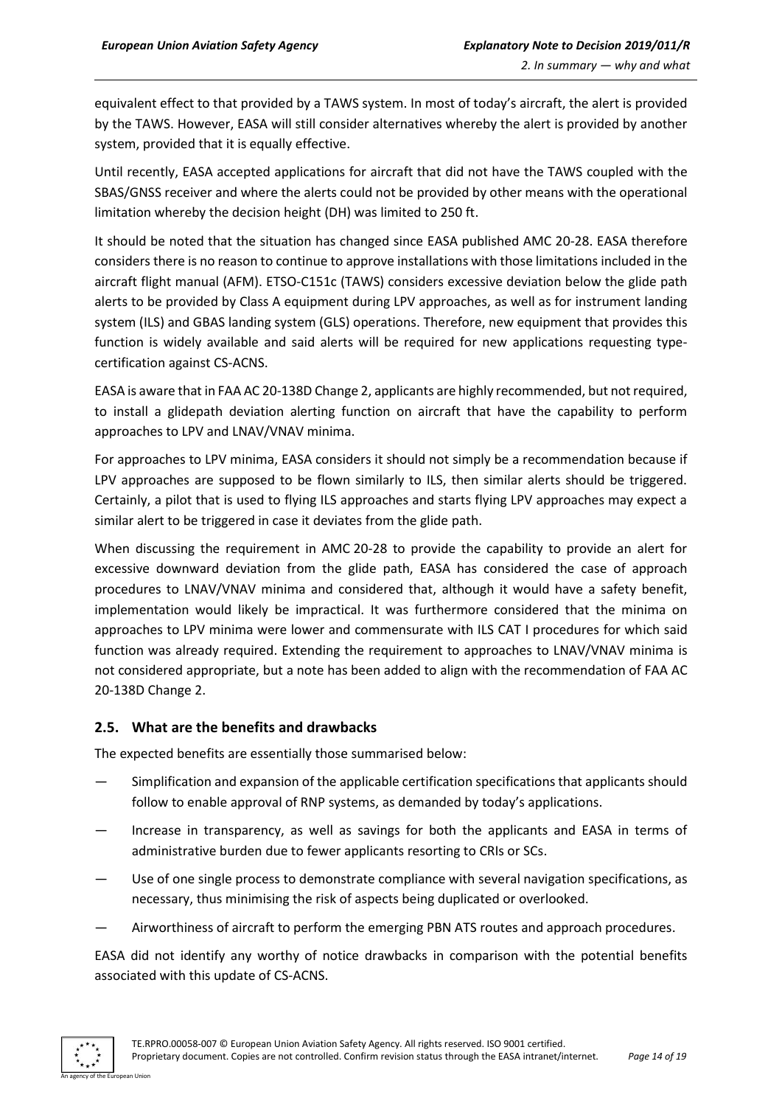equivalent effect to that provided by a TAWS system. In most of today's aircraft, the alert is provided by the TAWS. However, EASA will still consider alternatives whereby the alert is provided by another system, provided that it is equally effective.

Until recently, EASA accepted applications for aircraft that did not have the TAWS coupled with the SBAS/GNSS receiver and where the alerts could not be provided by other means with the operational limitation whereby the decision height (DH) was limited to 250 ft.

It should be noted that the situation has changed since EASA published AMC 20-28. EASA therefore considers there is no reason to continue to approve installations with those limitations included in the aircraft flight manual (AFM). ETSO-C151c (TAWS) considers excessive deviation below the glide path alerts to be provided by Class A equipment during LPV approaches, as well as for instrument landing system (ILS) and GBAS landing system (GLS) operations. Therefore, new equipment that provides this function is widely available and said alerts will be required for new applications requesting typecertification against CS-ACNS.

EASA is aware that in FAA AC 20-138D Change 2, applicants are highly recommended, but not required, to install a glidepath deviation alerting function on aircraft that have the capability to perform approaches to LPV and LNAV/VNAV minima.

For approaches to LPV minima, EASA considers it should not simply be a recommendation because if LPV approaches are supposed to be flown similarly to ILS, then similar alerts should be triggered. Certainly, a pilot that is used to flying ILS approaches and starts flying LPV approaches may expect a similar alert to be triggered in case it deviates from the glide path.

When discussing the requirement in AMC 20-28 to provide the capability to provide an alert for excessive downward deviation from the glide path, EASA has considered the case of approach procedures to LNAV/VNAV minima and considered that, although it would have a safety benefit, implementation would likely be impractical. It was furthermore considered that the minima on approaches to LPV minima were lower and commensurate with ILS CAT I procedures for which said function was already required. Extending the requirement to approaches to LNAV/VNAV minima is not considered appropriate, but a note has been added to align with the recommendation of FAA AC 20-138D Change 2.

#### <span id="page-13-0"></span>**2.5. What are the benefits and drawbacks**

The expected benefits are essentially those summarised below:

- Simplification and expansion of the applicable certification specifications that applicants should follow to enable approval of RNP systems, as demanded by today's applications.
- Increase in transparency, as well as savings for both the applicants and EASA in terms of administrative burden due to fewer applicants resorting to CRIs or SCs.
- Use of one single process to demonstrate compliance with several navigation specifications, as necessary, thus minimising the risk of aspects being duplicated or overlooked.
- Airworthiness of aircraft to perform the emerging PBN ATS routes and approach procedures.

EASA did not identify any worthy of notice drawbacks in comparison with the potential benefits associated with this update of CS-ACNS.

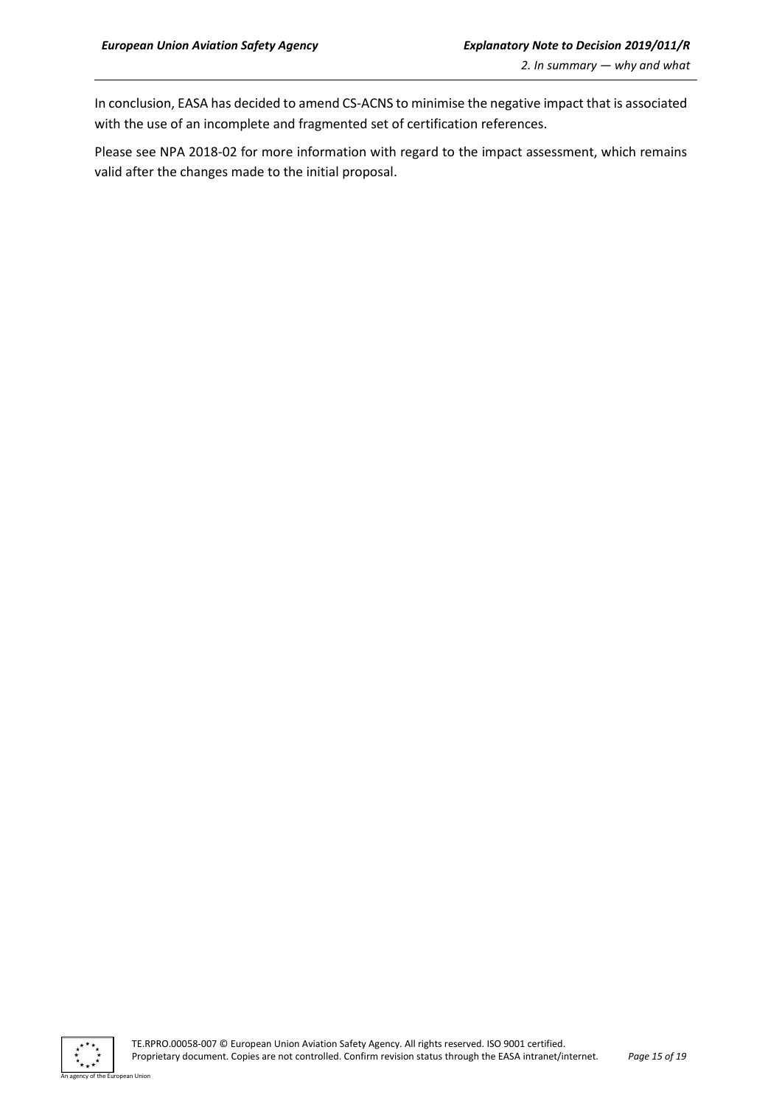In conclusion, EASA has decided to amend CS-ACNS to minimise the negative impact that is associated with the use of an incomplete and fragmented set of certification references.

Please see NPA 2018-02 for more information with regard to the impact assessment, which remains valid after the changes made to the initial proposal.



n Hoio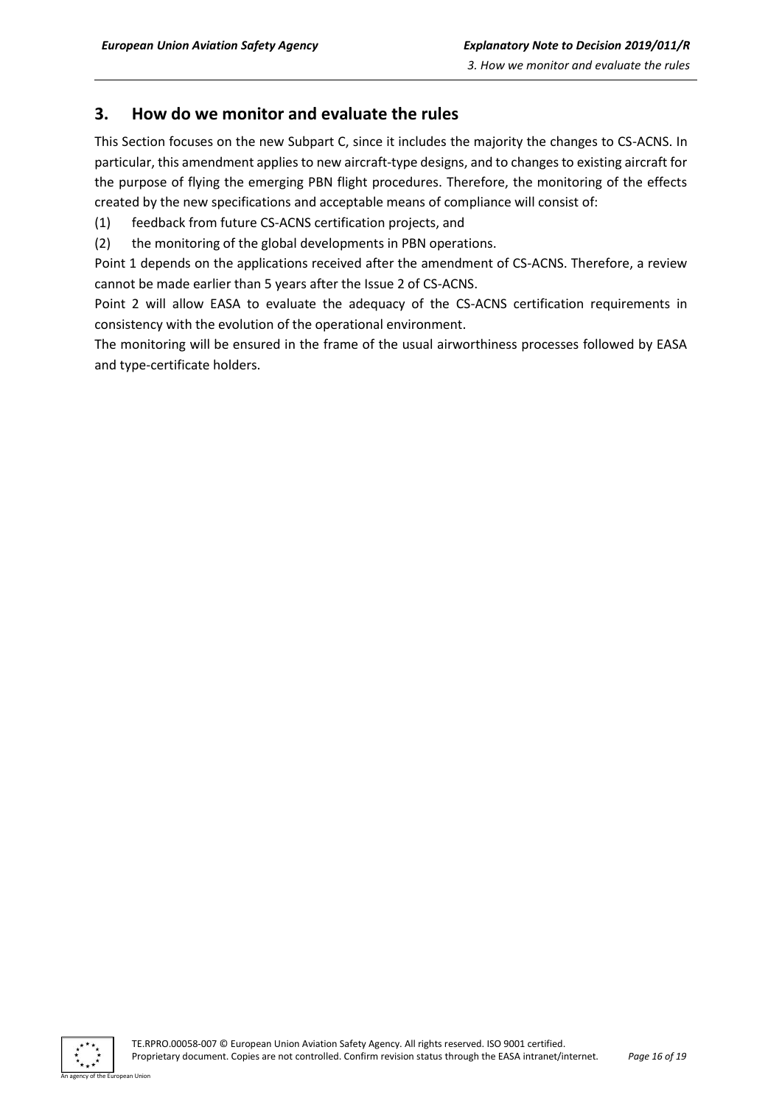## <span id="page-15-0"></span>**3. How do we monitor and evaluate the rules**

This Section focuses on the new Subpart C, since it includes the majority the changes to CS-ACNS. In particular, this amendment applies to new aircraft-type designs, and to changes to existing aircraft for the purpose of flying the emerging PBN flight procedures. Therefore, the monitoring of the effects created by the new specifications and acceptable means of compliance will consist of:

- (1) feedback from future CS-ACNS certification projects, and
- (2) the monitoring of the global developments in PBN operations.

Point 1 depends on the applications received after the amendment of CS-ACNS. Therefore, a review cannot be made earlier than 5 years after the Issue 2 of CS-ACNS.

Point 2 will allow EASA to evaluate the adequacy of the CS-ACNS certification requirements in consistency with the evolution of the operational environment.

The monitoring will be ensured in the frame of the usual airworthiness processes followed by EASA and type-certificate holders.

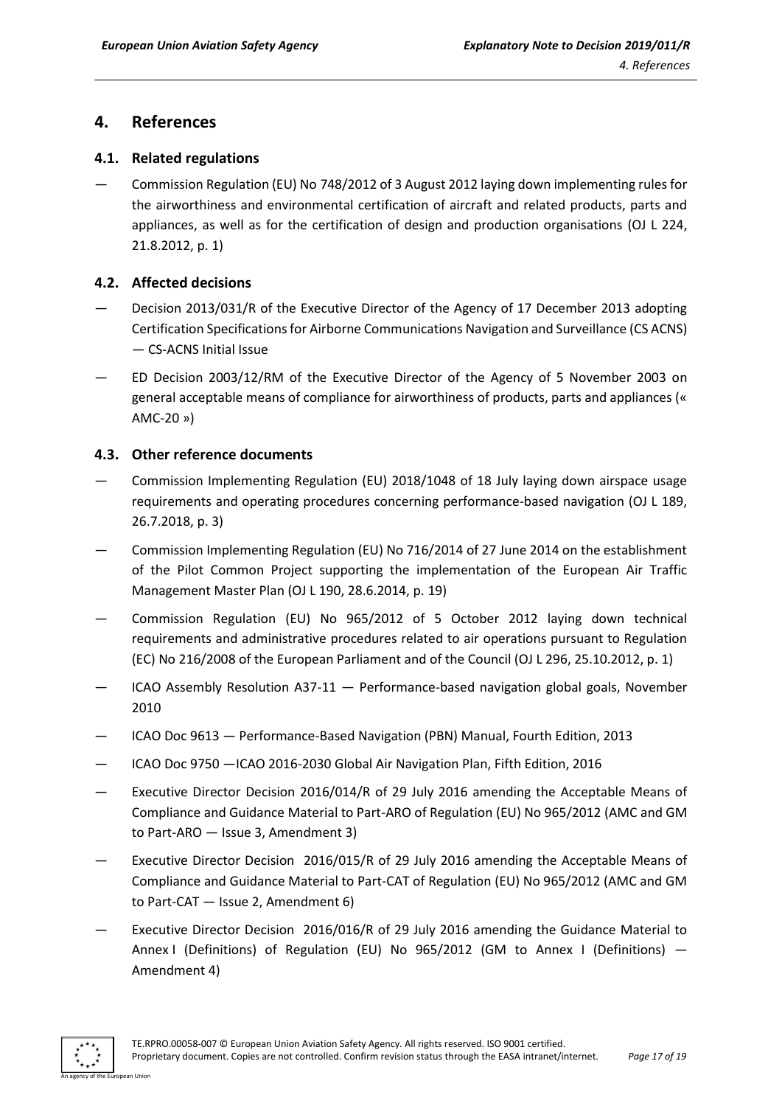## <span id="page-16-0"></span>**4. References**

#### <span id="page-16-1"></span>**4.1. Related regulations**

— Commission Regulation (EU) No 748/2012 of 3 August 2012 laying down implementing rules for the airworthiness and environmental certification of aircraft and related products, parts and appliances, as well as for the certification of design and production organisations (OJ L 224, 21.8.2012, p. 1)

#### <span id="page-16-2"></span>**4.2. Affected decisions**

- Decision 2013/031/R of the Executive Director of the Agency of 17 December 2013 adopting Certification Specifications for Airborne Communications Navigation and Surveillance (CS ACNS) — CS-ACNS Initial Issue
- ED Decision 2003/12/RM of the Executive Director of the Agency of 5 November 2003 on general acceptable means of compliance for airworthiness of products, parts and appliances (« AMC-20 »)

#### <span id="page-16-3"></span>**4.3. Other reference documents**

- Commission Implementing Regulation (EU) 2018/1048 of 18 July laying down airspace usage requirements and operating procedures concerning performance-based navigation (OJ L 189, 26.7.2018, p. 3)
- Commission Implementing Regulation (EU) No 716/2014 of 27 June 2014 on the establishment of the Pilot Common Project supporting the implementation of the European Air Traffic Management Master Plan (OJ L 190, 28.6.2014, p. 19)
- Commission Regulation (EU) No 965/2012 of 5 October 2012 laying down technical requirements and administrative procedures related to air operations pursuant to Regulation (EC) No 216/2008 of the European Parliament and of the Council (OJ L 296, 25.10.2012, p. 1)
- ICAO Assembly Resolution A37-11  $-$  Performance-based navigation global goals, November 2010
- ICAO Doc 9613 Performance-Based Navigation (PBN) Manual, Fourth Edition, 2013
- ICAO Doc 9750 —ICAO 2016-2030 Global Air Navigation Plan, Fifth Edition, 2016
- Executive Director Decision 2016/014/R of 29 July 2016 amending the Acceptable Means of Compliance and Guidance Material to Part-ARO of Regulation (EU) No 965/2012 (AMC and GM to Part-ARO — Issue 3, Amendment 3)
- Executive Director Decision 2016/015/R of 29 July 2016 amending the Acceptable Means of Compliance and Guidance Material to Part-CAT of Regulation (EU) No 965/2012 (AMC and GM to Part-CAT — Issue 2, Amendment 6)
- Executive Director Decision 2016/016/R of 29 July 2016 amending the Guidance Material to Annex I (Definitions) of Regulation (EU) No 965/2012 (GM to Annex I (Definitions) — Amendment 4)

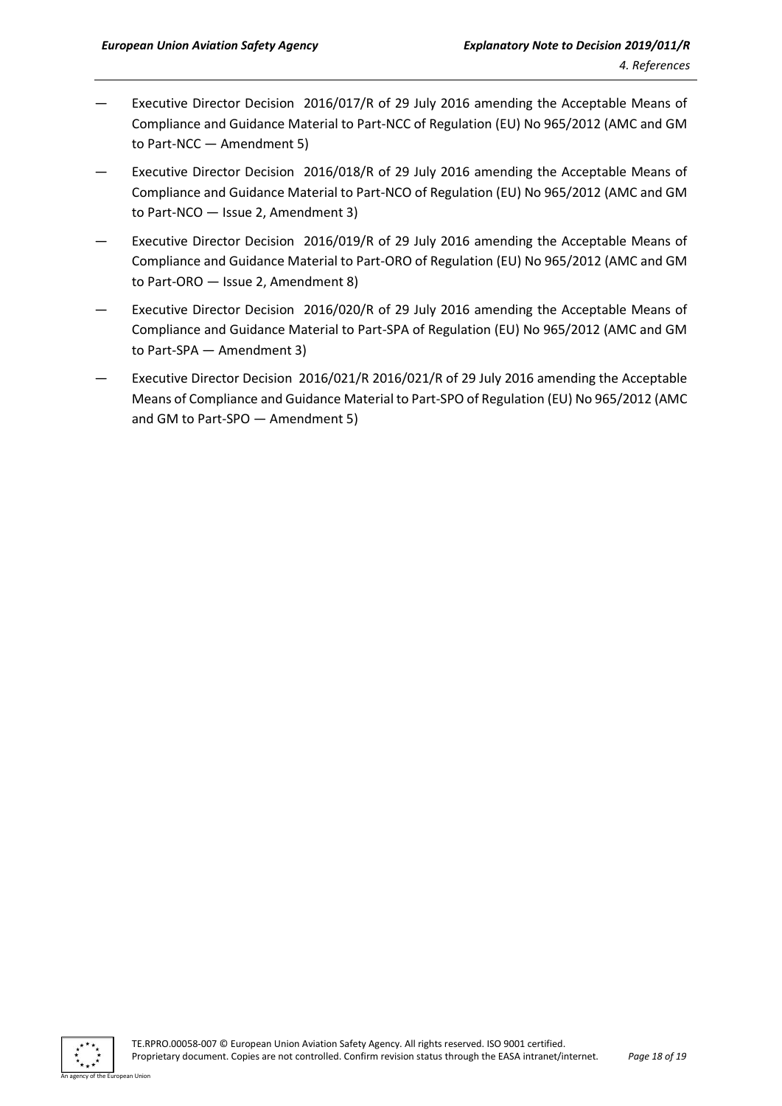- Executive Director Decision 2016/017/R of 29 July 2016 amending the Acceptable Means of Compliance and Guidance Material to Part-NCC of Regulation (EU) No 965/2012 (AMC and GM to Part-NCC — Amendment 5)
- Executive Director Decision 2016/018/R of 29 July 2016 amending the Acceptable Means of Compliance and Guidance Material to Part-NCO of Regulation (EU) No 965/2012 (AMC and GM to Part-NCO — Issue 2, Amendment 3)
- Executive Director Decision 2016/019/R of 29 July 2016 amending the Acceptable Means of Compliance and Guidance Material to Part-ORO of Regulation (EU) No 965/2012 (AMC and GM to Part-ORO — Issue 2, Amendment 8)
- Executive Director Decision 2016/020/R of 29 July 2016 amending the Acceptable Means of Compliance and Guidance Material to Part-SPA of Regulation (EU) No 965/2012 (AMC and GM to Part-SPA — Amendment 3)
- Executive Director Decision 2016/021/R 2016/021/R of 29 July 2016 amending the Acceptable Means of Compliance and Guidance Material to Part-SPO of Regulation (EU) No 965/2012 (AMC and GM to Part-SPO — Amendment 5)